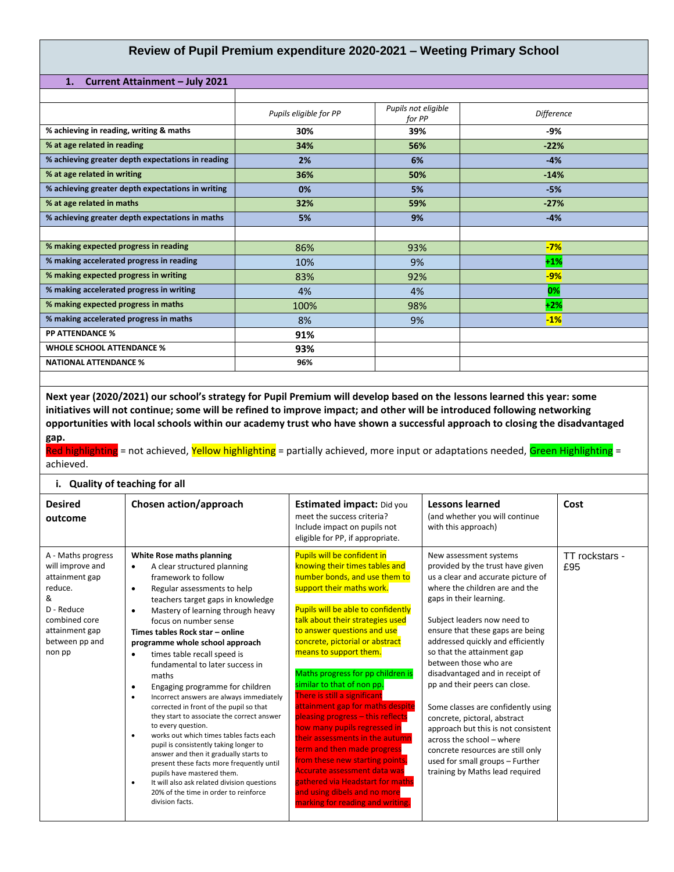## **Review of Pupil Premium expenditure 2020-2021 – Weeting Primary School**

|  | Current Attainment - July 2021 |  |
|--|--------------------------------|--|
|--|--------------------------------|--|

| -<br>Current Attainment - July 2021               |                        |                               |                   |
|---------------------------------------------------|------------------------|-------------------------------|-------------------|
|                                                   |                        |                               |                   |
|                                                   | Pupils eligible for PP | Pupils not eligible<br>for PP | <b>Difference</b> |
| % achieving in reading, writing & maths           | 30%                    | 39%                           | -9%               |
| % at age related in reading                       | 34%                    | 56%                           | $-22%$            |
| % achieving greater depth expectations in reading | 2%                     | 6%                            | $-4%$             |
| % at age related in writing                       | 36%                    | 50%                           | $-14%$            |
| % achieving greater depth expectations in writing | 0%                     | 5%                            | $-5%$             |
| % at age related in maths                         | 32%                    | 59%                           | $-27%$            |
| % achieving greater depth expectations in maths   | 5%                     | 9%                            | $-4%$             |
|                                                   |                        |                               |                   |
| % making expected progress in reading             | 86%                    | 93%                           | $-7%$             |
| % making accelerated progress in reading          | 10%                    | 9%                            | $+1%$             |
| % making expected progress in writing             | 83%                    | 92%                           | $-9%$             |
| % making accelerated progress in writing          | 4%                     | 4%                            | 0%                |
| % making expected progress in maths               | 100%                   | 98%                           | $+2%$             |
| % making accelerated progress in maths            | 8%                     | 9%                            | $-1%$             |
| <b>PP ATTENDANCE %</b>                            | 91%                    |                               |                   |
| <b>WHOLE SCHOOL ATTENDANCE %</b>                  | 93%                    |                               |                   |
| <b>NATIONAL ATTENDANCE %</b>                      | 96%                    |                               |                   |
|                                                   |                        |                               |                   |

**Next year (2020/2021) our school's strategy for Pupil Premium will develop based on the lessons learned this year: some initiatives will not continue; some will be refined to improve impact; and other will be introduced following networking opportunities with local schools within our academy trust who have shown a successful approach to closing the disadvantaged gap.**

Red highlighting = not achieved, Yellow highlighting = partially achieved, more input or adaptations needed, Green Highlighting = achieved.

## **i. Quality of teaching for all**

| <b>Desired</b><br>outcome                                                                                                                             | Chosen action/approach                                                                                                                                                                                                                                                                                                                                                                                                                                                                                                                                                                                                                                                                                                                                                                                                                                                                                                                                        | <b>Estimated impact:</b> Did you<br>meet the success criteria?<br>Include impact on pupils not<br>eligible for PP, if appropriate.                                                                                                                                                                                                                                                                                                                                                                                                                                                                                                                                                                                                                                | <b>Lessons learned</b><br>(and whether you will continue<br>with this approach)                                                                                                                                                                                                                                                                                                                                                                                                                                                                                                                                                                       | Cost                  |
|-------------------------------------------------------------------------------------------------------------------------------------------------------|---------------------------------------------------------------------------------------------------------------------------------------------------------------------------------------------------------------------------------------------------------------------------------------------------------------------------------------------------------------------------------------------------------------------------------------------------------------------------------------------------------------------------------------------------------------------------------------------------------------------------------------------------------------------------------------------------------------------------------------------------------------------------------------------------------------------------------------------------------------------------------------------------------------------------------------------------------------|-------------------------------------------------------------------------------------------------------------------------------------------------------------------------------------------------------------------------------------------------------------------------------------------------------------------------------------------------------------------------------------------------------------------------------------------------------------------------------------------------------------------------------------------------------------------------------------------------------------------------------------------------------------------------------------------------------------------------------------------------------------------|-------------------------------------------------------------------------------------------------------------------------------------------------------------------------------------------------------------------------------------------------------------------------------------------------------------------------------------------------------------------------------------------------------------------------------------------------------------------------------------------------------------------------------------------------------------------------------------------------------------------------------------------------------|-----------------------|
| A - Maths progress<br>will improve and<br>attainment gap<br>reduce.<br>&<br>D - Reduce<br>combined core<br>attainment gap<br>between pp and<br>non pp | White Rose maths planning<br>A clear structured planning<br>٠<br>framework to follow<br>Regular assessments to help<br>$\bullet$<br>teachers target gaps in knowledge<br>Mastery of learning through heavy<br>$\bullet$<br>focus on number sense<br>Times tables Rock star - online<br>programme whole school approach<br>times table recall speed is<br>$\bullet$<br>fundamental to later success in<br>maths<br>Engaging programme for children<br>٠<br>Incorrect answers are always immediately<br>$\bullet$<br>corrected in front of the pupil so that<br>they start to associate the correct answer<br>to every question.<br>works out which times tables facts each<br>٠<br>pupil is consistently taking longer to<br>answer and then it gradually starts to<br>present these facts more frequently until<br>pupils have mastered them.<br>It will also ask related division questions<br>٠<br>20% of the time in order to reinforce<br>division facts. | Pupils will be confident in<br>knowing their times tables and<br>number bonds, and use them to<br>support their maths work.<br>Pupils will be able to confidently<br>talk about their strategies used<br>to answer questions and use<br>concrete, pictorial or abstract<br>means to support them.<br>Maths progress for pp children is<br>similar to that of non pp.<br>There is still a significant<br>attainment gap for maths despite<br>pleasing progress - this reflects<br>how many pupils regressed in<br>their assessments in the autumn<br>term and then made progress<br>from these new starting points.<br><b>Accurate assessment data was</b><br>gathered via Headstart for maths<br>and using dibels and no more<br>marking for reading and writing. | New assessment systems<br>provided by the trust have given<br>us a clear and accurate picture of<br>where the children are and the<br>gaps in their learning.<br>Subject leaders now need to<br>ensure that these gaps are being<br>addressed quickly and efficiently<br>so that the attainment gap<br>between those who are<br>disadvantaged and in receipt of<br>pp and their peers can close.<br>Some classes are confidently using<br>concrete, pictoral, abstract<br>approach but this is not consistent<br>across the school - where<br>concrete resources are still only<br>used for small groups - Further<br>training by Maths lead required | TT rockstars -<br>£95 |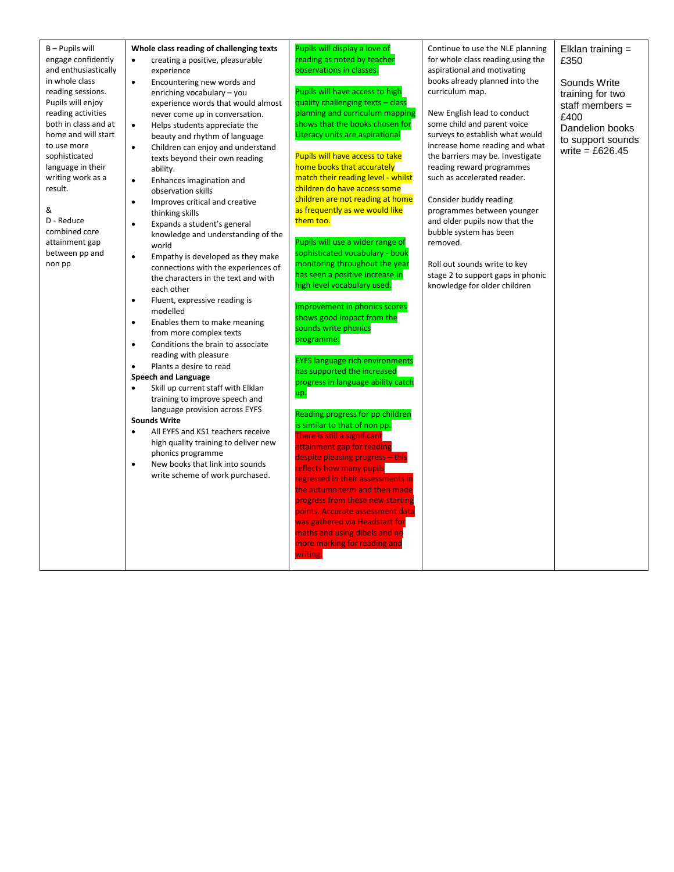| B - Pupils will<br>Whole class reading of challenging texts<br>engage confidently<br>creating a positive, pleasurable<br>$\bullet$<br>and enthusiastically<br>experience<br>in whole class<br>$\bullet$<br>Encountering new words and<br>reading sessions.<br>enriching vocabulary - you<br>Pupils will enjoy<br>experience words that would almost<br>reading activities<br>never come up in conversation.<br>both in class and at<br>$\bullet$<br>Helps students appreciate the<br>home and will start<br>beauty and rhythm of language<br>to use more<br>$\bullet$<br>Children can enjoy and understand<br>sophisticated<br>texts beyond their own reading<br>language in their<br>ability.<br>writing work as a<br>Enhances imagination and<br>$\bullet$<br>result.<br>observation skills<br>Improves critical and creative<br>$\bullet$<br>&<br>thinking skills<br>D - Reduce<br>Expands a student's general<br>combined core<br>knowledge and understanding of the<br>attainment gap<br>world<br>between pp and<br>Empathy is developed as they make<br>$\bullet$<br>non pp<br>connections with the experiences of<br>the characters in the text and with<br>each other<br>Fluent, expressive reading is<br>$\bullet$<br>modelled<br>Enables them to make meaning<br>$\bullet$<br>from more complex texts<br>Conditions the brain to associate<br>$\bullet$<br>reading with pleasure<br>Plants a desire to read<br>$\bullet$<br><b>Speech and Language</b><br>Skill up current staff with Elklan<br>$\bullet$<br>training to improve speech and<br>language provision across EYFS<br><b>Sounds Write</b><br>All EYFS and KS1 teachers receive<br>$\bullet$<br>high quality training to deliver new<br>phonics programme<br>New books that link into sounds<br>$\bullet$<br>write scheme of work purchased. | Pupils will display a love of<br>reading as noted by teacher<br>observations in classes.<br>Pupils will have access to high<br>quality challenging texts - class<br>planning and curriculum mapping<br>shows that the books chosen for<br>Literacy units are aspirational<br><b>Pupils will have access to take</b><br>home books that accurately<br>match their reading level - whilst<br>children do have access some<br>children are not reading at home<br>as frequently as we would like<br>them too.<br>Pupils will use a wider range of<br>sophisticated vocabulary - book<br>monitoring throughout the year<br>has seen a positive increase in<br>high level vocabulary used.<br>Improvement in phonics scores<br>shows good impact from the<br>sounds write phonics<br>programme.<br><b>EYFS language rich environments</b><br>has supported the increased<br>progress in language ability catch<br>up.<br>Reading progress for pp children<br>is similar to that of non pp.<br>There is still a significant<br>attainment gap for reading<br>despite pleasing progress - this<br>reflects how many pupils<br>regressed in their assessments in<br>the autumn term and then made<br>progress from these new starting<br>points. Accurate assessment data<br>was gathered via Headstart for<br>maths and using dibels and no<br>more marking for reading and | Continue to use the NLE planning<br>for whole class reading using the<br>aspirational and motivating<br>books already planned into the<br>curriculum map.<br>New English lead to conduct<br>some child and parent voice<br>surveys to establish what would<br>increase home reading and what<br>the barriers may be. Investigate<br>reading reward programmes<br>such as accelerated reader.<br>Consider buddy reading<br>programmes between younger<br>and older pupils now that the<br>bubble system has been<br>removed.<br>Roll out sounds write to key<br>stage 2 to support gaps in phonic<br>knowledge for older children | Elklan training =<br>£350<br>Sounds Write<br>training for two<br>staff members $=$<br>£400<br>Dandelion books<br>to support sounds<br>write = £626.45 |  |
|------------------------------------------------------------------------------------------------------------------------------------------------------------------------------------------------------------------------------------------------------------------------------------------------------------------------------------------------------------------------------------------------------------------------------------------------------------------------------------------------------------------------------------------------------------------------------------------------------------------------------------------------------------------------------------------------------------------------------------------------------------------------------------------------------------------------------------------------------------------------------------------------------------------------------------------------------------------------------------------------------------------------------------------------------------------------------------------------------------------------------------------------------------------------------------------------------------------------------------------------------------------------------------------------------------------------------------------------------------------------------------------------------------------------------------------------------------------------------------------------------------------------------------------------------------------------------------------------------------------------------------------------------------------------------------------------------------------------------------------------------------------------------------------------------------------|----------------------------------------------------------------------------------------------------------------------------------------------------------------------------------------------------------------------------------------------------------------------------------------------------------------------------------------------------------------------------------------------------------------------------------------------------------------------------------------------------------------------------------------------------------------------------------------------------------------------------------------------------------------------------------------------------------------------------------------------------------------------------------------------------------------------------------------------------------------------------------------------------------------------------------------------------------------------------------------------------------------------------------------------------------------------------------------------------------------------------------------------------------------------------------------------------------------------------------------------------------------------------------------------------------------------------------------------------------------------|----------------------------------------------------------------------------------------------------------------------------------------------------------------------------------------------------------------------------------------------------------------------------------------------------------------------------------------------------------------------------------------------------------------------------------------------------------------------------------------------------------------------------------------------------------------------------------------------------------------------------------|-------------------------------------------------------------------------------------------------------------------------------------------------------|--|
|------------------------------------------------------------------------------------------------------------------------------------------------------------------------------------------------------------------------------------------------------------------------------------------------------------------------------------------------------------------------------------------------------------------------------------------------------------------------------------------------------------------------------------------------------------------------------------------------------------------------------------------------------------------------------------------------------------------------------------------------------------------------------------------------------------------------------------------------------------------------------------------------------------------------------------------------------------------------------------------------------------------------------------------------------------------------------------------------------------------------------------------------------------------------------------------------------------------------------------------------------------------------------------------------------------------------------------------------------------------------------------------------------------------------------------------------------------------------------------------------------------------------------------------------------------------------------------------------------------------------------------------------------------------------------------------------------------------------------------------------------------------------------------------------------------------|----------------------------------------------------------------------------------------------------------------------------------------------------------------------------------------------------------------------------------------------------------------------------------------------------------------------------------------------------------------------------------------------------------------------------------------------------------------------------------------------------------------------------------------------------------------------------------------------------------------------------------------------------------------------------------------------------------------------------------------------------------------------------------------------------------------------------------------------------------------------------------------------------------------------------------------------------------------------------------------------------------------------------------------------------------------------------------------------------------------------------------------------------------------------------------------------------------------------------------------------------------------------------------------------------------------------------------------------------------------------|----------------------------------------------------------------------------------------------------------------------------------------------------------------------------------------------------------------------------------------------------------------------------------------------------------------------------------------------------------------------------------------------------------------------------------------------------------------------------------------------------------------------------------------------------------------------------------------------------------------------------------|-------------------------------------------------------------------------------------------------------------------------------------------------------|--|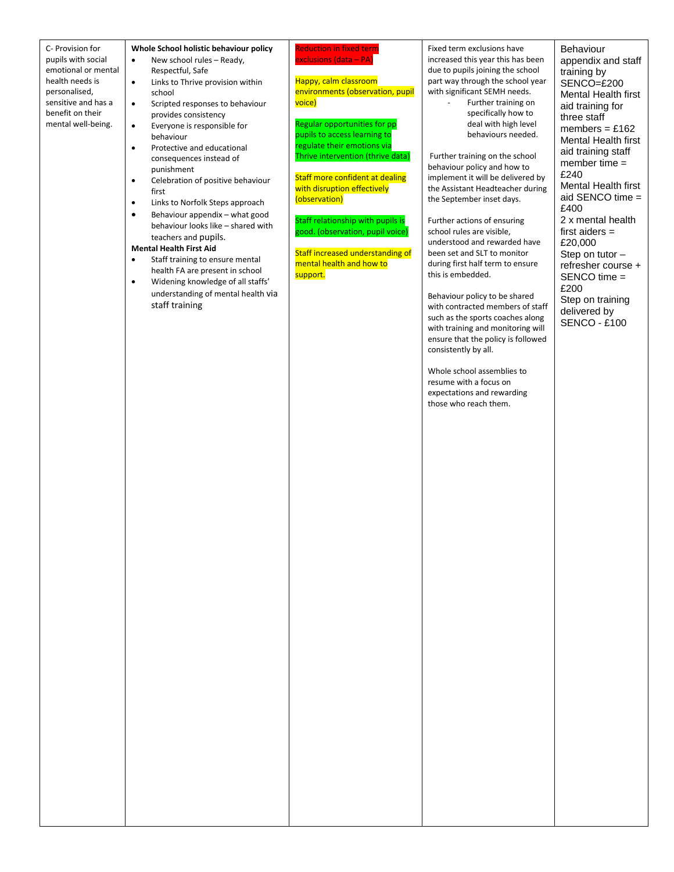| C- Provision for<br>pupils with social<br>emotional or mental<br>health needs is<br>personalised,<br>sensitive and has a<br>benefit on their<br>mental well-being. | Whole School holistic behaviour policy<br>New school rules - Ready,<br>$\bullet$<br>Respectful, Safe<br>Links to Thrive provision within<br>$\bullet$<br>school<br>Scripted responses to behaviour<br>$\bullet$<br>provides consistency<br>Everyone is responsible for<br>$\bullet$<br>behaviour<br>Protective and educational<br>$\bullet$<br>consequences instead of<br>punishment<br>Celebration of positive behaviour<br>$\bullet$<br>first<br>Links to Norfolk Steps approach<br>$\bullet$<br>Behaviour appendix - what good<br>$\bullet$ | <b>Reduction in fixed term</b><br>exclusions (data - PA)<br>Happy, calm classroom<br>environments (observation, pupil<br>voice)<br>Regular opportunities for pp<br>pupils to access learning to<br>regulate their emotions via<br>Thrive intervention (thrive data)<br>Staff more confident at dealing<br>with disruption effectively<br>(observation)<br>Staff relationship with pupils is | Fixed term exclusions have<br>increased this year this has been<br>due to pupils joining the school<br>part way through the school year<br>with significant SEMH needs.<br>Further training on<br>specifically how to<br>deal with high level<br>behaviours needed.<br>Further training on the school<br>behaviour policy and how to<br>implement it will be delivered by<br>the Assistant Headteacher during<br>the September inset days.<br>Further actions of ensuring    | Behaviour<br>appendix and staff<br>training by<br>SENCO=£200<br>Mental Health first<br>aid training for<br>three staff<br>members = $£162$<br>Mental Health first<br>aid training staff<br>member time $=$<br>£240<br><b>Mental Health first</b><br>aid SENCO time =<br>£400<br>2 x mental health |
|--------------------------------------------------------------------------------------------------------------------------------------------------------------------|------------------------------------------------------------------------------------------------------------------------------------------------------------------------------------------------------------------------------------------------------------------------------------------------------------------------------------------------------------------------------------------------------------------------------------------------------------------------------------------------------------------------------------------------|---------------------------------------------------------------------------------------------------------------------------------------------------------------------------------------------------------------------------------------------------------------------------------------------------------------------------------------------------------------------------------------------|------------------------------------------------------------------------------------------------------------------------------------------------------------------------------------------------------------------------------------------------------------------------------------------------------------------------------------------------------------------------------------------------------------------------------------------------------------------------------|---------------------------------------------------------------------------------------------------------------------------------------------------------------------------------------------------------------------------------------------------------------------------------------------------|
|                                                                                                                                                                    | teachers and pupils.<br><b>Mental Health First Aid</b><br>Staff training to ensure mental<br>$\bullet$<br>health FA are present in school<br>Widening knowledge of all staffs'<br>$\bullet$<br>understanding of mental health via<br>staff training                                                                                                                                                                                                                                                                                            | good. (observation, pupil voice)<br>Staff increased understanding of<br>mental health and how to<br>support.                                                                                                                                                                                                                                                                                | school rules are visible,<br>understood and rewarded have<br>been set and SLT to monitor<br>during first half term to ensure<br>this is embedded.<br>Behaviour policy to be shared<br>with contracted members of staff<br>such as the sports coaches along<br>with training and monitoring will<br>ensure that the policy is followed<br>consistently by all.<br>Whole school assemblies to<br>resume with a focus on<br>expectations and rewarding<br>those who reach them. | first aiders $=$<br>£20,000<br>Step on tutor -<br>refresher course +<br>SENCO time =<br>£200<br>Step on training<br>delivered by<br><b>SENCO - £100</b>                                                                                                                                           |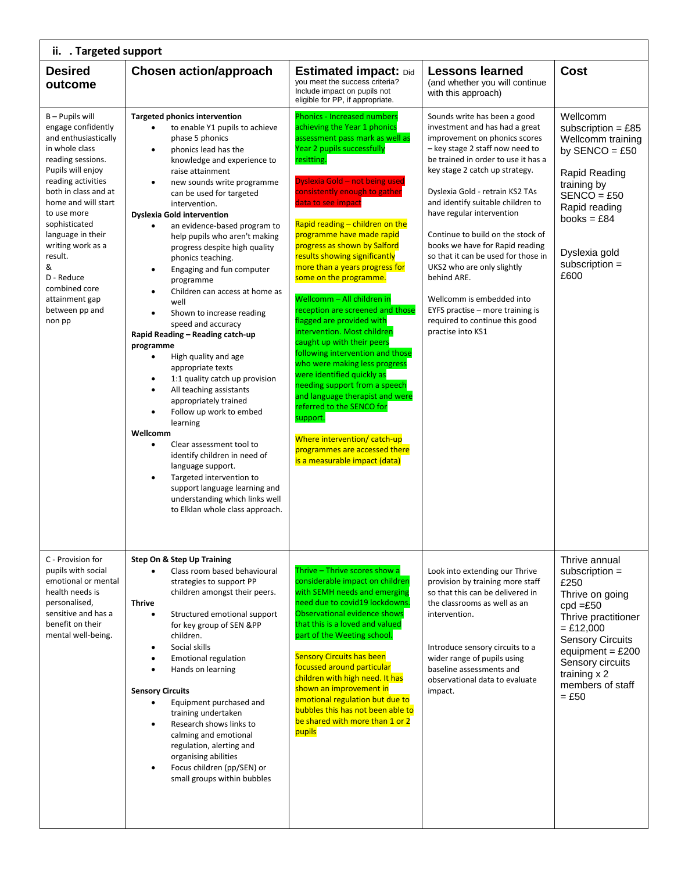| ii. . Targeted support                                                                                                                                                                                                                                                                                                                                              |                                                                                                                                                                                                                                                                                                                                                                                                                                                                                                                                                                                                                                                                                                                                                                                                                                                                                                                                                                                                                                                                                                              |                                                                                                                                                                                                                                                                                                                                                                                                                                                                                                                                                                                                                                                                                                                                                                                                                                                                                                                       |                                                                                                                                                                                                                                                                                                                                                                                                                                                                                                                                                                                                      |                                                                                                                                                                                                                                       |  |  |
|---------------------------------------------------------------------------------------------------------------------------------------------------------------------------------------------------------------------------------------------------------------------------------------------------------------------------------------------------------------------|--------------------------------------------------------------------------------------------------------------------------------------------------------------------------------------------------------------------------------------------------------------------------------------------------------------------------------------------------------------------------------------------------------------------------------------------------------------------------------------------------------------------------------------------------------------------------------------------------------------------------------------------------------------------------------------------------------------------------------------------------------------------------------------------------------------------------------------------------------------------------------------------------------------------------------------------------------------------------------------------------------------------------------------------------------------------------------------------------------------|-----------------------------------------------------------------------------------------------------------------------------------------------------------------------------------------------------------------------------------------------------------------------------------------------------------------------------------------------------------------------------------------------------------------------------------------------------------------------------------------------------------------------------------------------------------------------------------------------------------------------------------------------------------------------------------------------------------------------------------------------------------------------------------------------------------------------------------------------------------------------------------------------------------------------|------------------------------------------------------------------------------------------------------------------------------------------------------------------------------------------------------------------------------------------------------------------------------------------------------------------------------------------------------------------------------------------------------------------------------------------------------------------------------------------------------------------------------------------------------------------------------------------------------|---------------------------------------------------------------------------------------------------------------------------------------------------------------------------------------------------------------------------------------|--|--|
| <b>Desired</b><br>outcome                                                                                                                                                                                                                                                                                                                                           | <b>Chosen action/approach</b>                                                                                                                                                                                                                                                                                                                                                                                                                                                                                                                                                                                                                                                                                                                                                                                                                                                                                                                                                                                                                                                                                | <b>Estimated impact: Did</b><br>you meet the success criteria?<br>Include impact on pupils not<br>eligible for PP, if appropriate.                                                                                                                                                                                                                                                                                                                                                                                                                                                                                                                                                                                                                                                                                                                                                                                    | <b>Lessons learned</b><br>(and whether you will continue<br>with this approach)                                                                                                                                                                                                                                                                                                                                                                                                                                                                                                                      | Cost                                                                                                                                                                                                                                  |  |  |
| B-Pupils will<br>engage confidently<br>and enthusiastically<br>in whole class<br>reading sessions.<br>Pupils will enjoy<br>reading activities<br>both in class and at<br>home and will start<br>to use more<br>sophisticated<br>language in their<br>writing work as a<br>result.<br>&<br>D - Reduce<br>combined core<br>attainment gap<br>between pp and<br>non pp | <b>Targeted phonics intervention</b><br>to enable Y1 pupils to achieve<br>$\bullet$<br>phase 5 phonics<br>phonics lead has the<br>$\bullet$<br>knowledge and experience to<br>raise attainment<br>new sounds write programme<br>$\bullet$<br>can be used for targeted<br>intervention.<br><b>Dyslexia Gold intervention</b><br>an evidence-based program to<br>$\bullet$<br>help pupils who aren't making<br>progress despite high quality<br>phonics teaching.<br>Engaging and fun computer<br>programme<br>Children can access at home as<br>$\bullet$<br>well<br>Shown to increase reading<br>٠<br>speed and accuracy<br>Rapid Reading - Reading catch-up<br>programme<br>High quality and age<br>appropriate texts<br>1:1 quality catch up provision<br>$\bullet$<br>All teaching assistants<br>appropriately trained<br>Follow up work to embed<br>learning<br>Wellcomm<br>Clear assessment tool to<br>$\bullet$<br>identify children in need of<br>language support.<br>Targeted intervention to<br>support language learning and<br>understanding which links well<br>to Elklan whole class approach. | <b>Phonics - Increased numbers</b><br>achieving the Year 1 phonics<br>assessment pass mark as well as<br>Year 2 pupils successfully<br>resitting.<br>Dyslexia Gold - not being used<br>consistently enough to gather<br>data to see impact<br>Rapid reading - children on the<br>programme have made rapid<br>progress as shown by Salford<br>results showing significantly<br>more than a years progress for<br>some on the programme.<br>Wellcomm - All children in<br>reception are screened and those<br>flagged are provided with<br>intervention. Most children<br>caught up with their peers<br>following intervention and those<br>who were making less progress<br>were identified quickly as<br>needing support from a speech<br>and language therapist and were<br>referred to the SENCO for<br>support.<br>Where intervention/ catch-up<br>programmes are accessed there<br>is a measurable impact (data) | Sounds write has been a good<br>investment and has had a great<br>improvement on phonics scores<br>- key stage 2 staff now need to<br>be trained in order to use it has a<br>key stage 2 catch up strategy.<br>Dyslexia Gold - retrain KS2 TAs<br>and identify suitable children to<br>have regular intervention<br>Continue to build on the stock of<br>books we have for Rapid reading<br>so that it can be used for those in<br>UKS2 who are only slightly<br>behind ARE.<br>Wellcomm is embedded into<br>EYFS practise - more training is<br>required to continue this good<br>practise into KS1 | Wellcomm<br>subscription = $£85$<br>Wellcomm training<br>by $SENCO = £50$<br><b>Rapid Reading</b><br>training by<br>$SENCO = £50$<br>Rapid reading<br>books = $£84$<br>Dyslexia gold<br>subscription $=$<br>£600                      |  |  |
| C - Provision for<br>pupils with social<br>emotional or mental<br>health needs is<br>personalised,<br>sensitive and has a<br>benefit on their<br>mental well-being.                                                                                                                                                                                                 | <b>Step On &amp; Step Up Training</b><br>Class room based behavioural<br>strategies to support PP<br>children amongst their peers.<br><b>Thrive</b><br>Structured emotional support<br>for key group of SEN &PP<br>children.<br>Social skills<br><b>Emotional regulation</b><br>Hands on learning<br><b>Sensory Circuits</b><br>Equipment purchased and<br>training undertaken<br>Research shows links to<br>calming and emotional<br>regulation, alerting and<br>organising abilities<br>Focus children (pp/SEN) or<br>small groups within bubbles                                                                                                                                                                                                                                                                                                                                                                                                                                                                                                                                                          | Thrive - Thrive scores show a<br>considerable impact on children<br>with SEMH needs and emerging<br>need due to covid19 lockdowns.<br>Observational evidence shows<br>that this is a loved and valued<br>part of the Weeting school.<br><b>Sensory Circuits has been</b><br>focussed around particular<br>children with high need. It has<br>shown an improvement in<br>emotional regulation but due to<br>bubbles this has not been able to<br>be shared with more than 1 or 2<br>pupils                                                                                                                                                                                                                                                                                                                                                                                                                             | Look into extending our Thrive<br>provision by training more staff<br>so that this can be delivered in<br>the classrooms as well as an<br>intervention.<br>Introduce sensory circuits to a<br>wider range of pupils using<br>baseline assessments and<br>observational data to evaluate<br>impact.                                                                                                                                                                                                                                                                                                   | Thrive annual<br>subscription $=$<br>£250<br>Thrive on going<br>$cpd = £50$<br>Thrive practitioner<br>$= £12,000$<br><b>Sensory Circuits</b><br>equipment = $£200$<br>Sensory circuits<br>training x 2<br>members of staff<br>$=$ £50 |  |  |